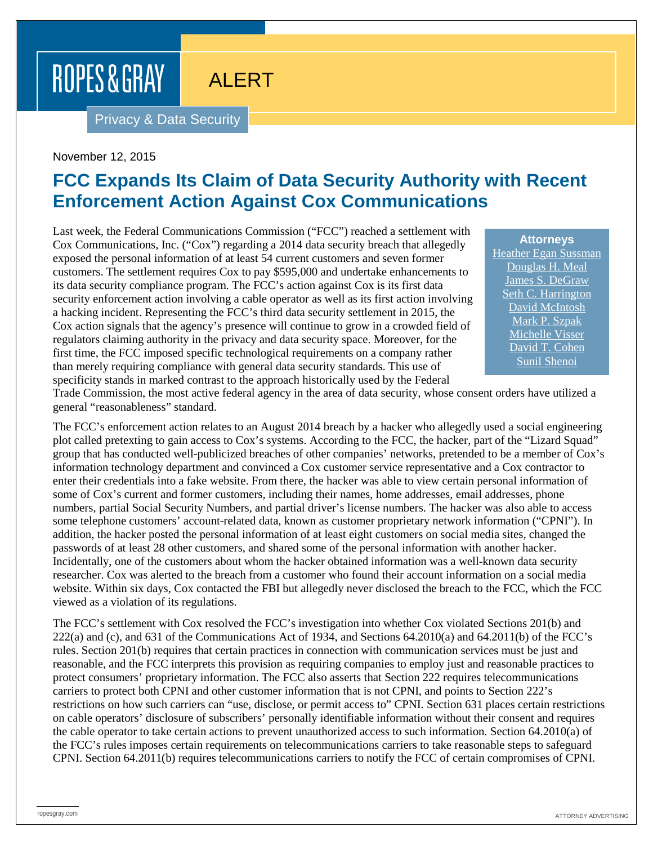# ROPES & GRAY

## ALERT

Privacy & Data Security

#### November 12, 2015

## **FCC Expands Its Claim of Data Security Authority with Recent Enforcement Action Against Cox Communications**

Last week, the Federal Communications Commission ("FCC") reached a settlement with Cox Communications, Inc. ("Cox") regarding a 2014 data security breach that allegedly exposed the personal information of at least 54 current customers and seven former customers. The settlement requires Cox to pay \$595,000 and undertake enhancements to its data security compliance program. The FCC's action against Cox is its first data security enforcement action involving a cable operator as well as its first action involving a hacking incident. Representing the FCC's third data security settlement in 2015, the Cox action signals that the agency's presence will continue to grow in a crowded field of regulators claiming authority in the privacy and data security space. Moreover, for the first time, the FCC imposed specific technological requirements on a company rather than merely requiring compliance with general data security standards. This use of specificity stands in marked contrast to the approach historically used by the Federal

**Attorneys** [Heather Egan Sussman](https://www.ropesgray.com/biographies/s/heather-egan-sussman.aspx) [Douglas H. Meal](https://www.ropesgray.com/biographies/m/douglas-h-meal.aspx) [James S. DeGraw](https://www.ropesgray.com/biographies/d/james-s-degraw.aspx) [Seth C. Harrington](https://www.ropesgray.com/biographies/h/seth-c-harrington.aspx) [David McIntosh](https://www.ropesgray.com/biographies/m/McIntosh-David.aspx) [Mark P. Szpak](https://www.ropesgray.com/biographies/s/mark-p-szpak.aspx) [Michelle Visser](https://www.ropesgray.com/biographies/v/michelle-visser.aspx) [David T. Cohen](https://www.ropesgray.com/biographies/c/david-t-cohen.aspx) [Sunil Shenoi](https://www.ropesgray.com/biographies/s/sunil-shenoi.aspx)

Trade Commission, the most active federal agency in the area of data security, whose consent orders have utilized a general "reasonableness" standard.

The FCC's enforcement action relates to an August 2014 breach by a hacker who allegedly used a social engineering plot called pretexting to gain access to Cox's systems. According to the FCC, the hacker, part of the "Lizard Squad" group that has conducted well-publicized breaches of other companies' networks, pretended to be a member of Cox's information technology department and convinced a Cox customer service representative and a Cox contractor to enter their credentials into a fake website. From there, the hacker was able to view certain personal information of some of Cox's current and former customers, including their names, home addresses, email addresses, phone numbers, partial Social Security Numbers, and partial driver's license numbers. The hacker was also able to access some telephone customers' account-related data, known as customer proprietary network information ("CPNI"). In addition, the hacker posted the personal information of at least eight customers on social media sites, changed the passwords of at least 28 other customers, and shared some of the personal information with another hacker. Incidentally, one of the customers about whom the hacker obtained information was a well-known data security researcher. Cox was alerted to the breach from a customer who found their account information on a social media website. Within six days, Cox contacted the FBI but allegedly never disclosed the breach to the FCC, which the FCC viewed as a violation of its regulations.

The FCC's settlement with Cox resolved the FCC's investigation into whether Cox violated Sections 201(b) and 222(a) and (c), and 631 of the Communications Act of 1934, and Sections 64.2010(a) and 64.2011(b) of the FCC's rules. Section 201(b) requires that certain practices in connection with communication services must be just and reasonable, and the FCC interprets this provision as requiring companies to employ just and reasonable practices to protect consumers' proprietary information. The FCC also asserts that Section 222 requires telecommunications carriers to protect both CPNI and other customer information that is not CPNI, and points to Section 222's restrictions on how such carriers can "use, disclose, or permit access to" CPNI. Section 631 places certain restrictions on cable operators' disclosure of subscribers' personally identifiable information without their consent and requires the cable operator to take certain actions to prevent unauthorized access to such information. Section 64.2010(a) of the FCC's rules imposes certain requirements on telecommunications carriers to take reasonable steps to safeguard CPNI. Section 64.2011(b) requires telecommunications carriers to notify the FCC of certain compromises of CPNI.